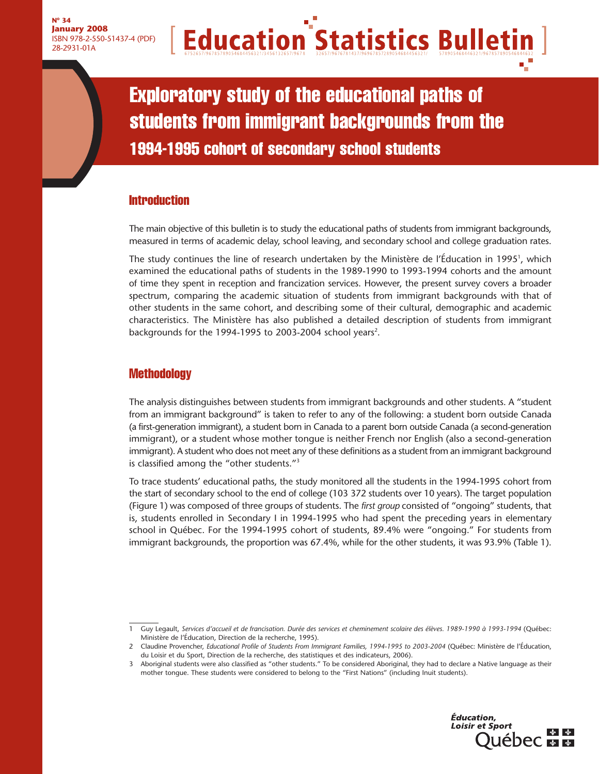# **Education Statistics Bulletin**

Exploratory study of the educational paths of students from immigrant backgrounds from the 1994-1995 cohort of secondary school students

# **Introduction**

The main objective of this bulletin is to study the educational paths of students from immigrant backgrounds, measured in terms of academic delay, school leaving, and secondary school and college graduation rates.

The study continues the line of research undertaken by the Ministère de l'Éducation in 1995 $^{\rm l}$ , which examined the educational paths of students in the 1989-1990 to 1993-1994 cohorts and the amount of time they spent in reception and francization services. However, the present survey covers a broader spectrum, comparing the academic situation of students from immigrant backgrounds with that of other students in the same cohort, and describing some of their cultural, demographic and academic characteristics. The Ministère has also published a detailed description of students from immigrant backgrounds for the 1994-1995 to 2003-2004 school years<sup>2</sup>.

# **Methodology**

The analysis distinguishes between students from immigrant backgrounds and other students. A "student from an immigrant background" is taken to refer to any of the following: a student born outside Canada (a first-generation immigrant), a student born in Canada to a parent born outside Canada (a second-generation immigrant), or a student whose mother tongue is neither French nor English (also a second-generation immigrant). A student who does not meet any of these definitions as a student from an immigrant background is classified among the "other students."3

To trace students' educational paths, the study monitored all the students in the 1994-1995 cohort from the start of secondary school to the end of college (103 372 students over 10 years). The target population (Figure 1) was composed of three groups of students. The *first group* consisted of "ongoing" students, that is, students enrolled in Secondary I in 1994-1995 who had spent the preceding years in elementary school in Québec. For the 1994-1995 cohort of students, 89.4% were "ongoing." For students from immigrant backgrounds, the proportion was 67.4%, while for the other students, it was 93.9% (Table 1).

<sup>3</sup> Aboriginal students were also classified as "other students." To be considered Aboriginal, they had to declare a Native language as their mother tongue. These students were considered to belong to the "First Nations" (including Inuit students).



<sup>1</sup> Guy Legault, *Services d'accueil et de francisation. Durée des services et cheminement scolaire des élèves. 1989-1990 à 1993-1994* (Québec: Ministère de l'Éducation, Direction de la recherche, 1995).

<sup>2</sup> Claudine Provencher, *Educational Profile of Students From Immigrant Families, 1994-1995 to 2003-2004* (Québec: Ministère de l'Éducation, du Loisir et du Sport, Direction de la recherche, des statistiques et des indicateurs, 2006).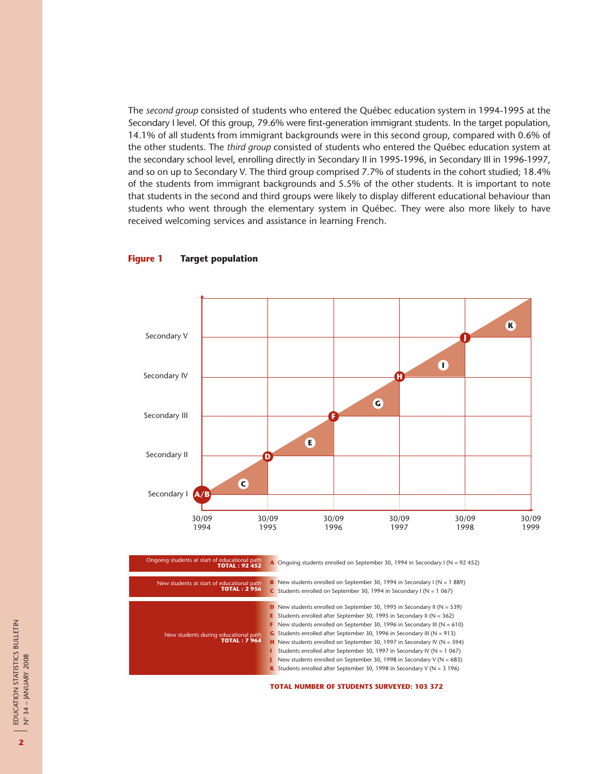The *second group* consisted of students who entered the Québec education system in 1994-1995 at the Secondary I level. Of this group, 79.6% were first-generation immigrant students. In the target population, 14.1% of all students from immigrant backgrounds were in this second group, compared with 0.6% of the other students. The *third group* consisted of students who entered the Québec education system at the secondary school level, enrolling directly in Secondary II in 1995-1996, in Secondary III in 1996-1997, and so on up to Secondary V. The third group comprised 7.7% of students in the cohort studied; 18.4% of the students from immigrant backgrounds and 5.5% of the other students. It is important to note that students in the second and third groups were likely to display different educational behaviour than students who went through the elementary system in Québec. They were also more likely to have received welcoming services and assistance in learning French.

#### **Figure 1 Target population**



| Ongoing students at start of educational path<br><b>TOTAL: 92 452</b> | A Ongoing students enrolled on September 30, 1994 in Secondary I ( $N = 92,452$ )                                                                                                                                                                                                                                                                                                                                                                                                                                                                                                                                                                                                   |  |
|-----------------------------------------------------------------------|-------------------------------------------------------------------------------------------------------------------------------------------------------------------------------------------------------------------------------------------------------------------------------------------------------------------------------------------------------------------------------------------------------------------------------------------------------------------------------------------------------------------------------------------------------------------------------------------------------------------------------------------------------------------------------------|--|
| New students at start of educational path<br><b>TOTAL: 2956</b>       | <b>B</b> New students enrolled on September 30, 1994 in Secondary I (N = 1 889)<br>C Students enrolled on September 30, 1994 in Secondary I ( $N = 1067$ )                                                                                                                                                                                                                                                                                                                                                                                                                                                                                                                          |  |
| New students during educational path<br><b>TOTAL: 7 964</b>           | <b>D</b> New students enrolled on September 30, 1995 in Secondary II ( $N = 539$ )<br><b>E</b> Students enrolled after September 30, 1995 in Secondary II ( $N = 362$ )<br>F New students enrolled on September 30, 1996 in Secondary III ( $N = 610$ )<br>G Students enrolled after September 30, 1996 in Secondary III ( $N = 913$ )<br><b>H</b> New students enrolled on September 30, 1997 in Secondary IV ( $N = 594$ )<br><b>I</b> Students enrolled after September 30, 1997 in Secondary IV ( $N = 1067$ )<br>New students enrolled on September 30, 1998 in Secondary V ( $N = 683$ )<br><b>K</b> Students enrolled after September 30, 1998 in Secondary V ( $N = 3$ 196) |  |

**TOTAL NUMBER OF STUDENTS SURVEYED: 103 372**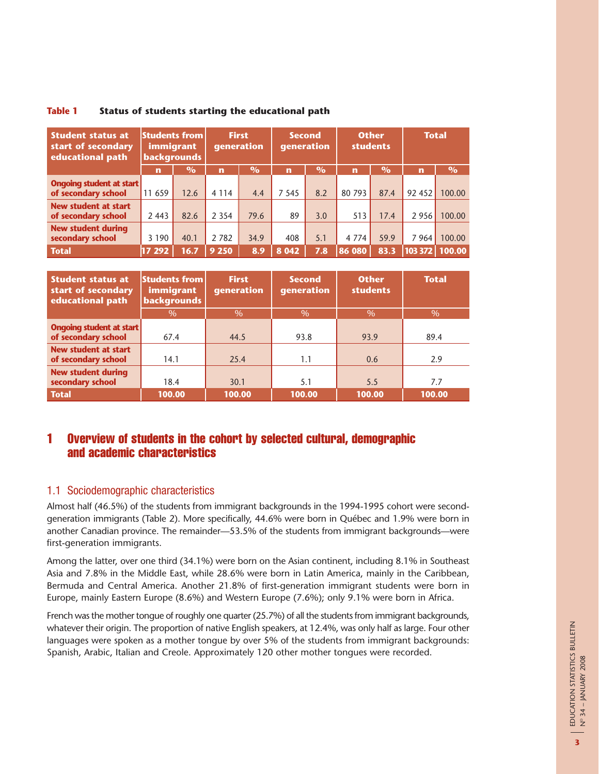| <b>Student status at</b><br>start of secondary<br>educational path | <b>Students from</b><br>immigrant<br><b>backgrounds</b> |               | <b>First</b><br><b>generation</b> |               | <b>Second</b><br>generation |               | <b>Other</b><br><b>students</b> |               | <b>Total</b> |        |
|--------------------------------------------------------------------|---------------------------------------------------------|---------------|-----------------------------------|---------------|-----------------------------|---------------|---------------------------------|---------------|--------------|--------|
|                                                                    | $\mathbf n$                                             | $\frac{0}{0}$ | $\mathbf n$                       | $\frac{O}{O}$ | $\mathbf{r}$                | $\frac{O}{O}$ | $\mathbf{r}$                    | $\frac{0}{0}$ | $\mathbf n$  | $\%$   |
| <b>Ongoing student at start</b>                                    |                                                         |               |                                   |               |                             |               |                                 |               |              |        |
| of secondary school                                                | 11 659                                                  | 12.6          | 4 1 1 4                           | 4.4           | 7 5 4 5                     | 8.2           | 80 793                          | 87.4          | 92 452       | 100.00 |
| <b>New student at start</b><br>of secondary school                 | 2 4 4 3                                                 | 82.6          | 2 3 5 4                           | 79.6          | 89                          | 3.0           | 513                             | 17.4          | 2956         | 100.00 |
| <b>New student during</b>                                          |                                                         |               |                                   |               |                             |               |                                 |               |              |        |
| secondary school                                                   | 3 1 9 0                                                 | 40.1          | 2 7 8 2                           | 34.9          | 408                         | 5.1           | 4 7 7 4                         | 59.9          | 7964         | 100.00 |
| <b>Total</b>                                                       | 17 292                                                  | 16.7          | 9 2 5 0                           | 8.9           | 8 0 4 2                     | 7.8           | 86 080                          | 83.3          | 103 372      | 100.00 |

#### **Table 1 Status of students starting the educational path**

| <b>Student status at</b><br>start of secondary<br>educational path | <b>Students from</b><br>immigrant<br><b>backgrounds</b> | <b>First</b><br>qeneration | <b>Second</b><br>generation | <b>Other</b><br><b>students</b> | <b>Total</b> |
|--------------------------------------------------------------------|---------------------------------------------------------|----------------------------|-----------------------------|---------------------------------|--------------|
|                                                                    | $\%$                                                    | $\%$                       | $\%$                        | $\%$                            | $\%$         |
| Ongoing student at start                                           |                                                         |                            |                             |                                 |              |
| of secondary school                                                | 67.4                                                    | 44.5                       | 93.8                        | 93.9                            | 89.4         |
| New student at start<br>of secondary school                        | 14.1                                                    | 25.4                       | 1.1                         | 0.6                             | 2.9          |
| <b>New student during</b><br>secondary school                      | 18.4                                                    | 30.1                       | 5.1                         | 5.5                             | 7.7          |
| <b>Total</b>                                                       | 100.00                                                  | 100.00                     | 100.00                      | 100.00                          | 100.00       |

# 1 Overview of students in the cohort by selected cultural, demographic and academic characteristics

# 1.1 Sociodemographic characteristics

Almost half (46.5%) of the students from immigrant backgrounds in the 1994-1995 cohort were secondgeneration immigrants (Table 2). More specifically, 44.6% were born in Québec and 1.9% were born in another Canadian province. The remainder—53.5% of the students from immigrant backgrounds—were first-generation immigrants.

Among the latter, over one third (34.1%) were born on the Asian continent, including 8.1% in Southeast Asia and 7.8% in the Middle East, while 28.6% were born in Latin America, mainly in the Caribbean, Bermuda and Central America. Another 21.8% of first-generation immigrant students were born in Europe, mainly Eastern Europe (8.6%) and Western Europe (7.6%); only 9.1% were born in Africa.

French was the mother tongue of roughly one quarter (25.7%) of all the students from immigrant backgrounds, whatever their origin. The proportion of native English speakers, at 12.4%, was only half as large. Four other languages were spoken as a mother tongue by over 5% of the students from immigrant backgrounds: Spanish, Arabic, Italian and Creole. Approximately 120 other mother tongues were recorded.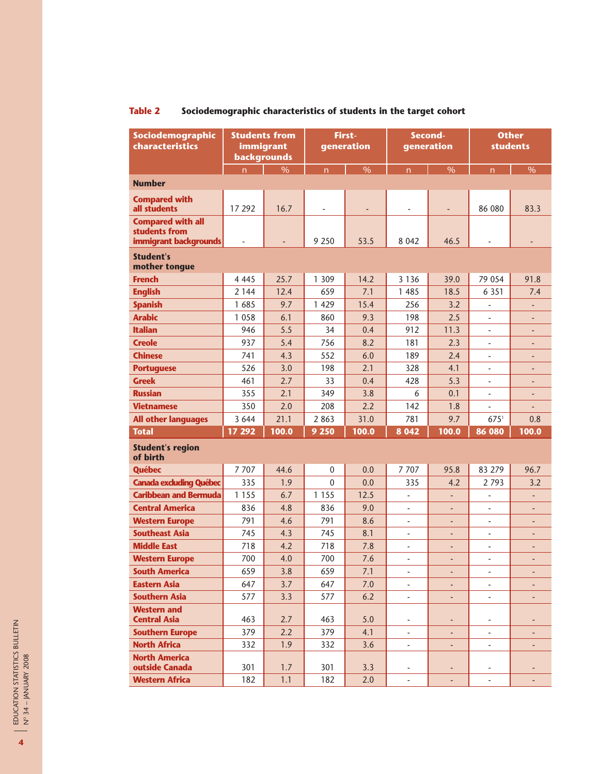| Sociodemographic<br>characteristics                                | <b>Students from</b><br>immigrant<br>backgrounds |                          |              | First-<br>generation | Second-<br>generation    |                          | <b>Other</b><br><b>students</b> |                          |
|--------------------------------------------------------------------|--------------------------------------------------|--------------------------|--------------|----------------------|--------------------------|--------------------------|---------------------------------|--------------------------|
|                                                                    | n.                                               | $\overline{\frac{9}{6}}$ | n            | $\%$                 | $\overline{n}$           | $\%$                     | n                               | $\%$                     |
| <b>Number</b>                                                      |                                                  |                          |              |                      |                          |                          |                                 |                          |
| <b>Compared with</b><br>all students                               | 17 292                                           | 16.7                     |              |                      |                          |                          | 86 080                          | 83.3                     |
| <b>Compared with all</b><br>students from<br>immigrant backgrounds |                                                  |                          | 9 2 5 0      | 53.5                 | 8 0 4 2                  | 46.5                     |                                 |                          |
| <b>Student's</b><br>mother tongue                                  |                                                  |                          |              |                      |                          |                          |                                 |                          |
| <b>French</b>                                                      | 4 4 4 5                                          | 25.7                     | 1 3 0 9      | 14.2                 | 3 1 3 6                  | 39.0                     | 79 054                          | 91.8                     |
| <b>English</b>                                                     | 2 1 4 4                                          | 12.4                     | 659          | 7.1                  | 1 4 8 5                  | 18.5                     | 6 3 5 1                         | 7.4                      |
| <b>Spanish</b>                                                     | 1 685                                            | 9.7                      | 1 4 2 9      | 15.4                 | 256                      | 3.2                      |                                 |                          |
| <b>Arabic</b>                                                      | 1 0 5 8                                          | 6.1                      | 860          | 9.3                  | 198                      | 2.5                      |                                 |                          |
| <b>Italian</b>                                                     | 946                                              | 5.5                      | 34           | 0.4                  | 912                      | 11.3                     |                                 | $\overline{\phantom{0}}$ |
| <b>Creole</b>                                                      | 937                                              | 5.4                      | 756          | 8.2                  | 181                      | 2.3                      | $\overline{\phantom{a}}$        | $\overline{\phantom{m}}$ |
| <b>Chinese</b>                                                     | 741                                              | 4.3                      | 552          | 6.0                  | 189                      | 2.4                      |                                 |                          |
| <b>Portuguese</b>                                                  | 526                                              | 3.0                      | 198          | 2.1                  | 328                      | 4.1                      | L                               |                          |
| <b>Greek</b>                                                       | 461                                              | 2.7                      | 33           | 0.4                  | 428                      | 5.3                      | L,                              | -                        |
| <b>Russian</b>                                                     | 355                                              | 2.1                      | 349          | 3.8                  | 6                        | 0.1                      |                                 |                          |
| <b>Vietnamese</b>                                                  | 350                                              | 2.0                      | 208          | 2.2                  | 142                      | 1.8                      |                                 |                          |
| <b>All other languages</b>                                         | 3 6 4 4                                          | 21.1                     | 2 8 6 3      | 31.0                 | 781                      | 9.7                      | $675^1$                         | 0.8                      |
| <b>Total</b>                                                       | 17 29 2                                          | 100.0                    | 9 2 5 0      | 100.0                | 8 0 4 2                  | 100.0                    | 86 080                          | 100.0                    |
| <b>Student's region</b><br>of birth                                |                                                  |                          |              |                      |                          |                          |                                 |                          |
| <b>Québec</b>                                                      | 7 7 0 7                                          | 44.6                     | $\mathbf 0$  | 0.0                  | 7707                     | 95.8                     | 83 279                          | 96.7                     |
| <b>Canada excluding Québec</b>                                     | 335                                              | 1.9                      | $\mathbf{0}$ | 0.0                  | 335                      | 4.2                      | 2793                            | 3.2                      |
| <b>Caribbean and Bermuda</b>                                       | 1 1 5 5                                          | 6.7                      | 1 1 5 5      | 12.5                 | $\overline{\phantom{a}}$ | $\overline{\phantom{a}}$ | $\overline{\phantom{m}}$        | ÷                        |
| <b>Central America</b>                                             | 836                                              | 4.8                      | 836          | 9.0                  | ÷,                       |                          |                                 |                          |
| <b>Western Europe</b>                                              | 791                                              | 4.6                      | 791          | 8.6                  | ٠                        |                          | L,                              |                          |
| <b>Southeast Asia</b>                                              | 745                                              | 4.3                      | 745          | 8.1                  | ÷,                       | ٠                        | $\overline{a}$                  | ٠                        |
| <b>Middle East</b>                                                 | 718                                              | 4.2                      | 718          | 7.8                  |                          |                          |                                 |                          |
| <b>Western Europe</b>                                              | 700                                              | 4.0                      | 700          | 7.6                  | ٠                        |                          | L,                              |                          |
| <b>South America</b>                                               | 659                                              | 3.8                      | 659          | 7.1                  | $\blacksquare$           | ٠                        | $\overline{\phantom{a}}$        | ٠                        |
| <b>Eastern Asia</b>                                                | 647                                              | 3.7                      | 647          | 7.0                  | $\frac{1}{2}$            |                          |                                 |                          |
| <b>Southern Asia</b>                                               | 577                                              | 3.3                      | 577          | 6.2                  | $\blacksquare$           |                          | $\overline{\phantom{0}}$        |                          |
| <b>Western and</b><br><b>Central Asia</b>                          | 463                                              | 2.7                      | 463          | 5.0                  | ٠                        |                          |                                 |                          |
| <b>Southern Europe</b>                                             | 379                                              | 2.2                      | 379          | 4.1                  | $\blacksquare$           |                          | $\overline{\phantom{0}}$        |                          |
| <b>North Africa</b>                                                | 332                                              | 1.9                      | 332          | 3.6                  | $\overline{\phantom{a}}$ | ٠                        | ÷,                              |                          |
| <b>North America</b><br>outside Canada                             | 301                                              | 1.7                      | 301          | 3.3                  |                          |                          |                                 |                          |
| <b>Western Africa</b>                                              | 182                                              | 1.1                      | 182          | 2.0                  | ä,                       | $\overline{\phantom{a}}$ | $\overline{a}$                  |                          |

# **Table 2 Sociodemographic characteristics of students in the target cohort**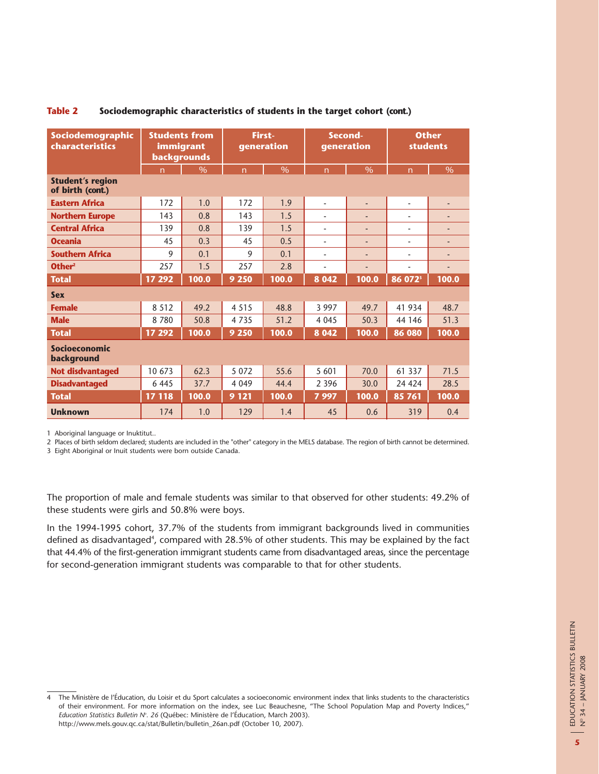| Sociodemographic<br>characteristics         | <b>Students from</b><br>immigrant<br>backgrounds |               |                | First-<br>generation |                          | Second-<br>generation    |                          | <b>Other</b><br><b>students</b> |  |
|---------------------------------------------|--------------------------------------------------|---------------|----------------|----------------------|--------------------------|--------------------------|--------------------------|---------------------------------|--|
|                                             | $\overline{n}$                                   | $\frac{0}{6}$ | $\overline{n}$ | $\frac{0}{6}$        | $\overline{n}$           | $\frac{0}{6}$            | $\overline{n}$           | $\%$                            |  |
| <b>Student's region</b><br>of birth (cont.) |                                                  |               |                |                      |                          |                          |                          |                                 |  |
| <b>Eastern Africa</b>                       | 172                                              | 1.0           | 172            | 1.9                  | $\overline{\phantom{a}}$ | ÷,                       | ÷,                       | ٠                               |  |
| <b>Northern Europe</b>                      | 143                                              | 0.8           | 143            | 1.5                  |                          |                          |                          |                                 |  |
| <b>Central Africa</b>                       | 139                                              | 0.8           | 139            | 1.5                  |                          | ٠                        | ٠                        |                                 |  |
| <b>Oceania</b>                              | 45                                               | 0.3           | 45             | 0.5                  | ٠                        | $\overline{\phantom{a}}$ | $\overline{\phantom{a}}$ | ٠                               |  |
| <b>Southern Africa</b>                      | 9                                                | 0.1           | 9              | 0.1                  | ۰                        | ٠                        |                          | $\overline{a}$                  |  |
| Other <sup>2</sup>                          | 257                                              | 1.5           | 257            | 2.8                  | $\blacksquare$           | ٠                        | $\overline{\phantom{a}}$ | ٠                               |  |
| <b>Total</b>                                | 17 29 2                                          | 100.0         | 9 2 5 0        | 100.0                | 8 0 4 2                  | 100.0                    | 86 072 <sup>3</sup>      | 100.0                           |  |
| <b>Sex</b>                                  |                                                  |               |                |                      |                          |                          |                          |                                 |  |
| <b>Female</b>                               | 8 5 1 2                                          | 49.2          | 4 5 1 5        | 48.8                 | 3 9 9 7                  | 49.7                     | 41 934                   | 48.7                            |  |
| <b>Male</b>                                 | 8 7 8 0                                          | 50.8          | 4 7 3 5        | 51.2                 | 4 0 4 5                  | 50.3                     | 44 146                   | 51.3                            |  |
| <b>Total</b>                                | 17 29 2                                          | 100.0         | 9 2 5 0        | 100.0                | 8042                     | 100.0                    | 86 080                   | 100.0                           |  |
| Socioeconomic<br>background                 |                                                  |               |                |                      |                          |                          |                          |                                 |  |
| <b>Not disdvantaged</b>                     | 10 673                                           | 62.3          | 5 0 7 2        | 55.6                 | 5 601                    | 70.0                     | 61 337                   | 71.5                            |  |
| <b>Disadvantaged</b>                        | 6 4 4 5                                          | 37.7          | 4 0 4 9        | 44.4                 | 2 3 9 6                  | 30.0                     | 24 4 24                  | 28.5                            |  |
| <b>Total</b>                                | 17 118                                           | 100.0         | 9 1 2 1        | 100.0                | 7997                     | 100.0                    | 85 761                   | 100.0                           |  |
| <b>Unknown</b>                              | 174                                              | 1.0           | 129            | 1.4                  | 45                       | 0.6                      | 319                      | 0.4                             |  |

#### **Table 2 Sociodemographic characteristics of students in the target cohort (cont.)**

1 Aboriginal language or Inuktitut..

2 Places of birth seldom declared; students are included in the "other" category in the MELS database. The region of birth cannot be determined.

3 Eight Aboriginal or Inuit students were born outside Canada.

The proportion of male and female students was similar to that observed for other students: 49.2% of these students were girls and 50.8% were boys.

In the 1994-1995 cohort, 37.7% of the students from immigrant backgrounds lived in communities defined as disadvantaged<sup>4</sup>, compared with 28.5% of other students. This may be explained by the fact that 44.4% of the first-generation immigrant students came from disadvantaged areas, since the percentage for second-generation immigrant students was comparable to that for other students.

4 The Ministère de l'Éducation, du Loisir et du Sport calculates a socioeconomic environment index that links students to the characteristics of their environment. For more information on the index, see Luc Beauchesne, "The School Population Map and Poverty Indices," *Education Statistics Bulletin N<sup>o</sup>. 26* (Québec: Ministère de l'Education, March 2003). http://www.mels.gouv.qc.ca/stat/Bulletin/bulletin\_26an.pdf (October 10, 2007).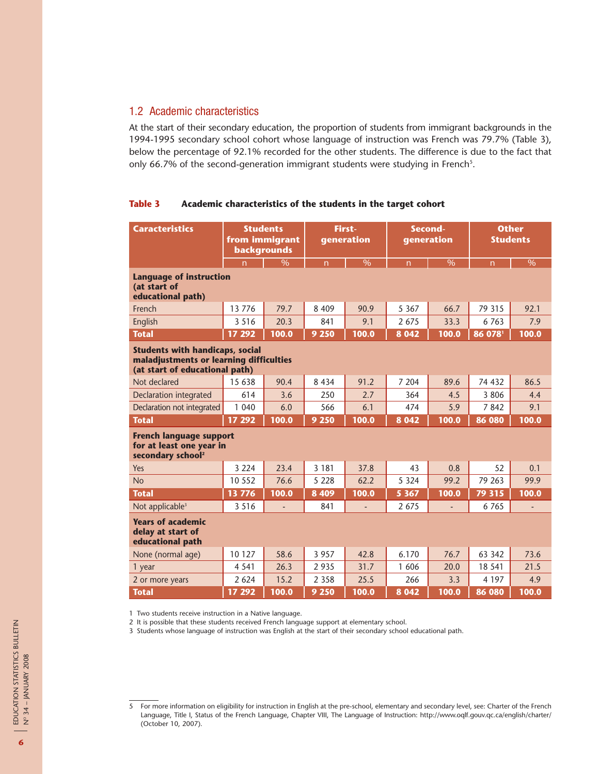## 1.2 Academic characteristics

At the start of their secondary education, the proportion of students from immigrant backgrounds in the 1994-1995 secondary school cohort whose language of instruction was French was 79.7% (Table 3), below the percentage of 92.1% recorded for the other students. The difference is due to the fact that only 66.7% of the second-generation immigrant students were studying in French<sup>s</sup>.

#### **Table 3 Academic characteristics of the students in the target cohort**

| <b>Caracteristics</b>                                                                                               | <b>Students</b><br>from immigrant<br><b>backgrounds</b> |               | First-<br>generation |                          | Second-<br>generation |                          | <b>Other</b><br><b>Students</b> |               |
|---------------------------------------------------------------------------------------------------------------------|---------------------------------------------------------|---------------|----------------------|--------------------------|-----------------------|--------------------------|---------------------------------|---------------|
|                                                                                                                     | n                                                       | $\frac{0}{6}$ | $\overline{n}$       | $\overline{\frac{9}{6}}$ | $\overline{n}$        | $\overline{\frac{9}{6}}$ | $\overline{n}$                  | $\frac{0}{0}$ |
| <b>Language of instruction</b><br>(at start of<br>educational path)                                                 |                                                         |               |                      |                          |                       |                          |                                 |               |
| French                                                                                                              | 13 7 7 6                                                | 79.7          | 8 4 0 9              | 90.9                     | 5 3 6 7               | 66.7                     | 79 31 5                         | 92.1          |
| English                                                                                                             | 3 5 1 6                                                 | 20.3          | 841                  | 9.1                      | 2675                  | 33.3                     | 6763                            | 7.9           |
| <b>Total</b>                                                                                                        | 17 29 2                                                 | 100.0         | 9 250                | 100.0                    | 8 0 4 2               | 100.0                    | 86 0781                         | 100.0         |
| <b>Students with handicaps, social</b><br>maladjustments or learning difficulties<br>(at start of educational path) |                                                         |               |                      |                          |                       |                          |                                 |               |
| Not declared                                                                                                        | 15 638                                                  | 90.4          | 8 4 3 4              | 91.2                     | 7 204                 | 89.6                     | 74 432                          | 86.5          |
| <b>Declaration integrated</b>                                                                                       | 614                                                     | 3.6           | 250                  | 2.7                      | 364                   | 4.5                      | 3806                            | 4.4           |
| Declaration not integrated                                                                                          | 1 040                                                   | 6.0           | 566                  | 6.1                      | 474                   | 5.9                      | 7842                            | 9.1           |
| <b>Total</b>                                                                                                        | 17 29 2                                                 | 100.0         | 9 2 5 0              | 100.0                    | 8 0 4 2               | 100.0                    | 86 080                          | 100.0         |
| <b>French language support</b><br>for at least one year in<br>secondary school <sup>2</sup>                         |                                                         |               |                      |                          |                       |                          |                                 |               |
| Yes                                                                                                                 | 3 2 2 4                                                 | 23.4          | 3 1 8 1              | 37.8                     | 43                    | 0.8                      | 52                              | 0.1           |
| <b>No</b>                                                                                                           | 10 552                                                  | 76.6          | 5 2 2 8              | 62.2                     | 5 3 2 4               | 99.2                     | 79 263                          | 99.9          |
| <b>Total</b>                                                                                                        | 13776                                                   | 100.0         | 8 4 0 9              | 100.0                    | 5 3 6 7               | 100.0                    | 79 315                          | 100.0         |
| Not applicable <sup>3</sup>                                                                                         | 3 5 1 6                                                 | ÷             | 841                  |                          | 2675                  |                          | 6765                            | ÷,            |
| <b>Years of academic</b><br>delay at start of<br>educational path                                                   |                                                         |               |                      |                          |                       |                          |                                 |               |
| None (normal age)                                                                                                   | 10 127                                                  | 58.6          | 3 9 5 7              | 42.8                     | 6.170                 | 76.7                     | 63 342                          | 73.6          |
| 1 year                                                                                                              | 4 5 4 1                                                 | 26.3          | 2935                 | 31.7                     | 1606                  | 20.0                     | 18 541                          | 21.5          |
| 2 or more years                                                                                                     | 2 6 2 4                                                 | 15.2          | 2 3 5 8              | 25.5                     | 266                   | 3.3                      | 4 1 9 7                         | 4.9           |
| <b>Total</b>                                                                                                        | 17 29 2                                                 | 100.0         | 9 2 5 0              | 100.0                    | 8 0 4 2               | 100.0                    | 86 080                          | 100.0         |

1 Two students receive instruction in a Native language.

2 It is possible that these students received French language support at elementary school.

3 Students whose language of instruction was English at the start of their secondary school educational path.

<sup>5</sup> For more information on eligibility for instruction in English at the pre-school, elementary and secondary level, see: Charter of the French Language, Title I, Status of the French Language, Chapter VIII, The Language of Instruction: http://www.oqlf.gouv.qc.ca/english/charter/ (October 10, 2007).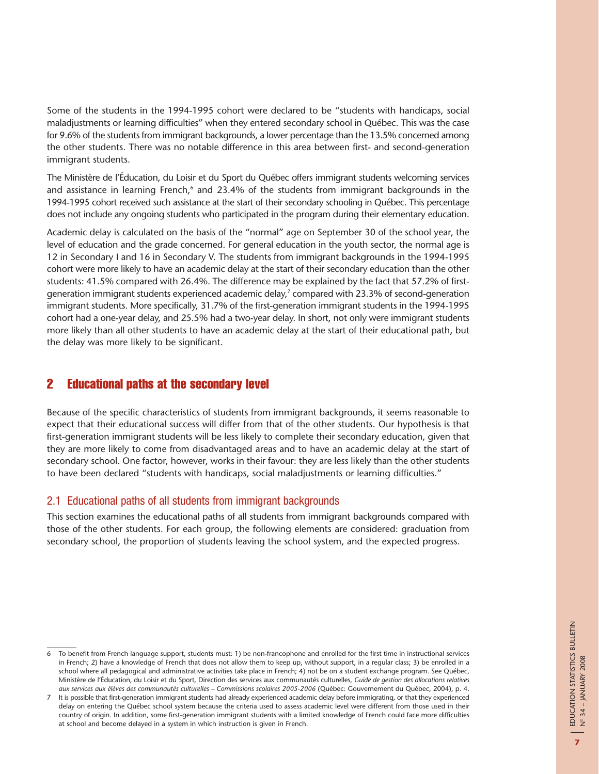Some of the students in the 1994-1995 cohort were declared to be "students with handicaps, social maladjustments or learning difficulties" when they entered secondary school in Québec. This was the case for 9.6% of the students from immigrant backgrounds, a lower percentage than the 13.5% concerned among the other students. There was no notable difference in this area between first- and second-generation immigrant students.

The Ministère de l'Éducation, du Loisir et du Sport du Québec offers immigrant students welcoming services and assistance in learning French, $6$  and 23.4% of the students from immigrant backgrounds in the 1994-1995 cohort received such assistance at the start of their secondary schooling in Québec. This percentage does not include any ongoing students who participated in the program during their elementary education.

Academic delay is calculated on the basis of the "normal" age on September 30 of the school year, the level of education and the grade concerned. For general education in the youth sector, the normal age is 12 in Secondary I and 16 in Secondary V. The students from immigrant backgrounds in the 1994-1995 cohort were more likely to have an academic delay at the start of their secondary education than the other students: 41.5% compared with 26.4%. The difference may be explained by the fact that 57.2% of firstgeneration immigrant students experienced academic delay,<sup>7</sup> compared with 23.3% of second-generation immigrant students. More specifically, 31.7% of the first-generation immigrant students in the 1994-1995 cohort had a one-year delay, and 25.5% had a two-year delay. In short, not only were immigrant students more likely than all other students to have an academic delay at the start of their educational path, but the delay was more likely to be significant.

## 2 Educational paths at the secondary level

Because of the specific characteristics of students from immigrant backgrounds, it seems reasonable to expect that their educational success will differ from that of the other students. Our hypothesis is that first-generation immigrant students will be less likely to complete their secondary education, given that they are more likely to come from disadvantaged areas and to have an academic delay at the start of secondary school. One factor, however, works in their favour: they are less likely than the other students to have been declared "students with handicaps, social maladjustments or learning difficulties."

## 2.1 Educational paths of all students from immigrant backgrounds

This section examines the educational paths of all students from immigrant backgrounds compared with those of the other students. For each group, the following elements are considered: graduation from secondary school, the proportion of students leaving the school system, and the expected progress.

<sup>6</sup> To benefit from French language support, students must: 1) be non-francophone and enrolled for the first time in instructional services in French; 2) have a knowledge of French that does not allow them to keep up, without support, in a regular class; 3) be enrolled in a school where all pedagogical and administrative activities take place in French; 4) not be on a student exchange program. See Québec, Ministère de l'Éducation, du Loisir et du Sport, Direction des services aux communautés culturelles, *Guide de gestion des allocations relatives aux services aux élèves des communautés culturelles – Commissions scolaires 2005-2006* (Québec: Gouvernement du Québec, 2004), p. 4.

<sup>7</sup> It is possible that first-generation immigrant students had already experienced academic delay before immigrating, or that they experienced delay on entering the Québec school system because the criteria used to assess academic level were different from those used in their country of origin. In addition, some first-generation immigrant students with a limited knowledge of French could face more difficulties at school and become delayed in a system in which instruction is given in French.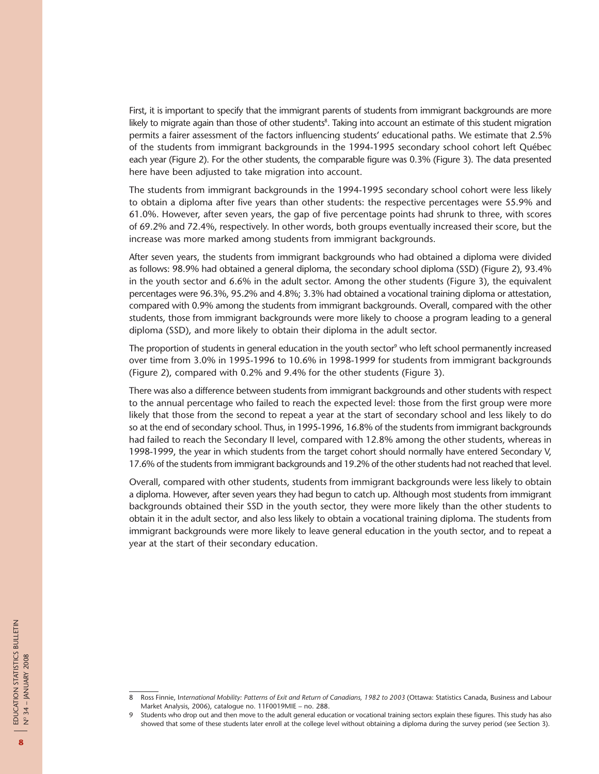First, it is important to specify that the immigrant parents of students from immigrant backgrounds are more likely to migrate again than those of other students $^{\rm 8}.$  Taking into account an estimate of this student migration permits a fairer assessment of the factors influencing students' educational paths. We estimate that 2.5% of the students from immigrant backgrounds in the 1994-1995 secondary school cohort left Québec each year (Figure 2). For the other students, the comparable figure was 0.3% (Figure 3). The data presented here have been adjusted to take migration into account.

The students from immigrant backgrounds in the 1994-1995 secondary school cohort were less likely to obtain a diploma after five years than other students: the respective percentages were 55.9% and 61.0%. However, after seven years, the gap of five percentage points had shrunk to three, with scores of 69.2% and 72.4%, respectively. In other words, both groups eventually increased their score, but the increase was more marked among students from immigrant backgrounds.

After seven years, the students from immigrant backgrounds who had obtained a diploma were divided as follows: 98.9% had obtained a general diploma, the secondary school diploma (SSD) (Figure 2), 93.4% in the youth sector and 6.6% in the adult sector. Among the other students (Figure 3), the equivalent percentages were 96.3%, 95.2% and 4.8%; 3.3% had obtained a vocational training diploma or attestation, compared with 0.9% among the students from immigrant backgrounds. Overall, compared with the other students, those from immigrant backgrounds were more likely to choose a program leading to a general diploma (SSD), and more likely to obtain their diploma in the adult sector.

The proportion of students in general education in the youth sector<sup>9</sup> who left school permanently increased over time from 3.0% in 1995-1996 to 10.6% in 1998-1999 for students from immigrant backgrounds (Figure 2), compared with 0.2% and 9.4% for the other students (Figure 3).

There was also a difference between students from immigrant backgrounds and other students with respect to the annual percentage who failed to reach the expected level: those from the first group were more likely that those from the second to repeat a year at the start of secondary school and less likely to do so at the end of secondary school. Thus, in 1995-1996, 16.8% of the students from immigrant backgrounds had failed to reach the Secondary II level, compared with 12.8% among the other students, whereas in 1998-1999, the year in which students from the target cohort should normally have entered Secondary V, 17.6% of the students from immigrant backgrounds and 19.2% of the other students had not reached that level.

Overall, compared with other students, students from immigrant backgrounds were less likely to obtain a diploma. However, after seven years they had begun to catch up. Although most students from immigrant backgrounds obtained their SSD in the youth sector, they were more likely than the other students to obtain it in the adult sector, and also less likely to obtain a vocational training diploma. The students from immigrant backgrounds were more likely to leave general education in the youth sector, and to repeat a year at the start of their secondary education.

<sup>8</sup> Ross Finnie, I*nternational Mobility: Patterns of Exit and Return of Canadians, 1982 to 2003* (Ottawa: Statistics Canada, Business and Labour Market Analysis, 2006), catalogue no. 11F0019MIE – no. 288.

<sup>9</sup> Students who drop out and then move to the adult general education or vocational training sectors explain these figures. This study has also showed that some of these students later enroll at the college level without obtaining a diploma during the survey period (see Section 3).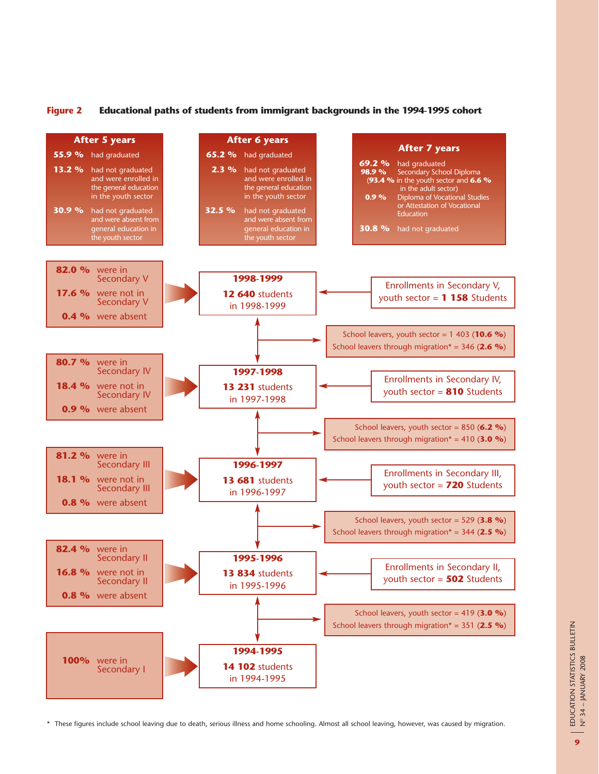#### **Figure 2 Educational paths of students from immigrant backgrounds in the 1994-1995 cohort**

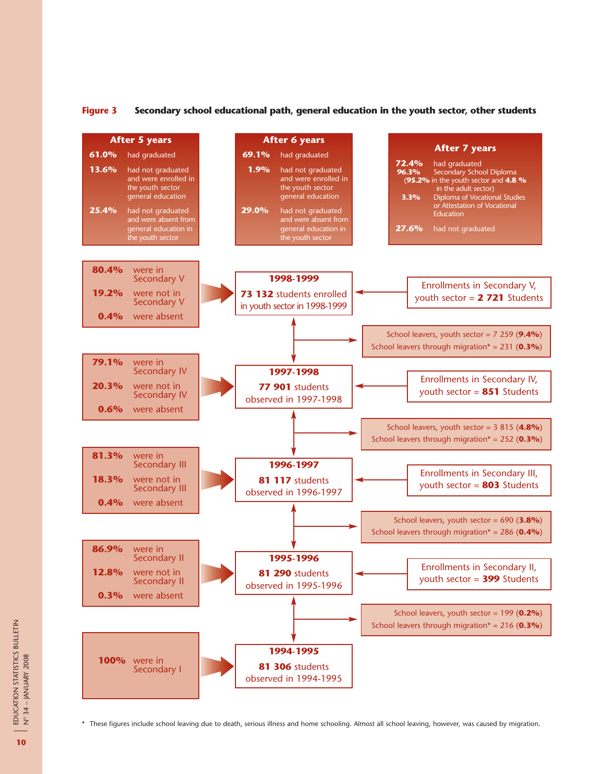#### **Figure 3 Secondary school educational path, general education in the youth sector, other students**

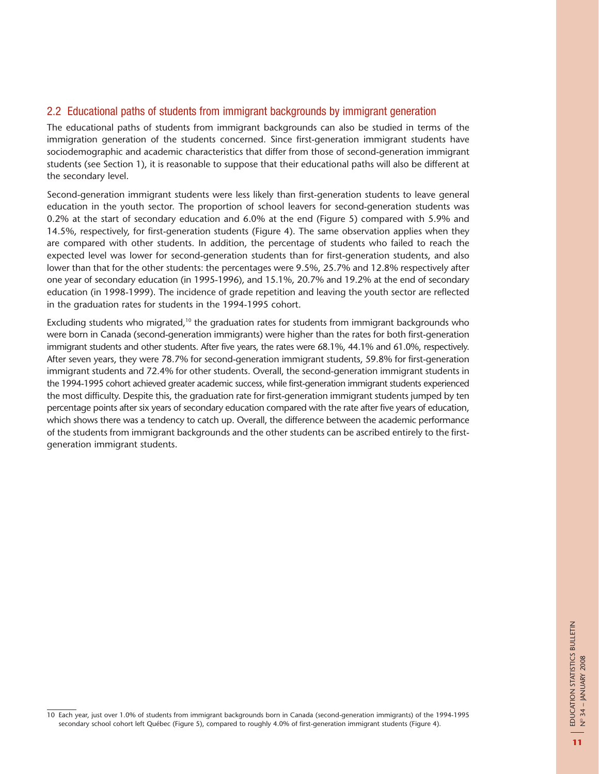## 2.2 Educational paths of students from immigrant backgrounds by immigrant generation

The educational paths of students from immigrant backgrounds can also be studied in terms of the immigration generation of the students concerned. Since first-generation immigrant students have sociodemographic and academic characteristics that differ from those of second-generation immigrant students (see Section 1), it is reasonable to suppose that their educational paths will also be different at the secondary level.

Second-generation immigrant students were less likely than first-generation students to leave general education in the youth sector. The proportion of school leavers for second-generation students was 0.2% at the start of secondary education and 6.0% at the end (Figure 5) compared with 5.9% and 14.5%, respectively, for first-generation students (Figure 4). The same observation applies when they are compared with other students. In addition, the percentage of students who failed to reach the expected level was lower for second-generation students than for first-generation students, and also lower than that for the other students: the percentages were 9.5%, 25.7% and 12.8% respectively after one year of secondary education (in 1995-1996), and 15.1%, 20.7% and 19.2% at the end of secondary education (in 1998-1999). The incidence of grade repetition and leaving the youth sector are reflected in the graduation rates for students in the 1994-1995 cohort.

Excluding students who migrated,<sup>10</sup> the graduation rates for students from immigrant backgrounds who were born in Canada (second-generation immigrants) were higher than the rates for both first-generation immigrant students and other students. After five years, the rates were 68.1%, 44.1% and 61.0%, respectively. After seven years, they were 78.7% for second-generation immigrant students, 59.8% for first-generation immigrant students and 72.4% for other students. Overall, the second-generation immigrant students in the 1994-1995 cohort achieved greater academic success, while first-generation immigrant students experienced the most difficulty. Despite this, the graduation rate for first-generation immigrant students jumped by ten percentage points after six years of secondary education compared with the rate after five years of education, which shows there was a tendency to catch up. Overall, the difference between the academic performance of the students from immigrant backgrounds and the other students can be ascribed entirely to the firstgeneration immigrant students.

<sup>10</sup> Each year, just over 1.0% of students from immigrant backgrounds born in Canada (second-generation immigrants) of the 1994-1995 secondary school cohort left Québec (Figure 5), compared to roughly 4.0% of first-generation immigrant students (Figure 4).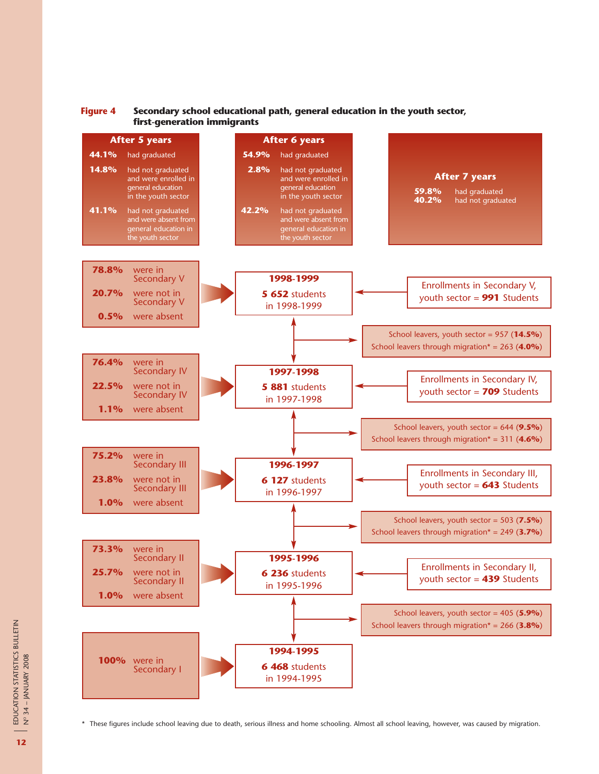

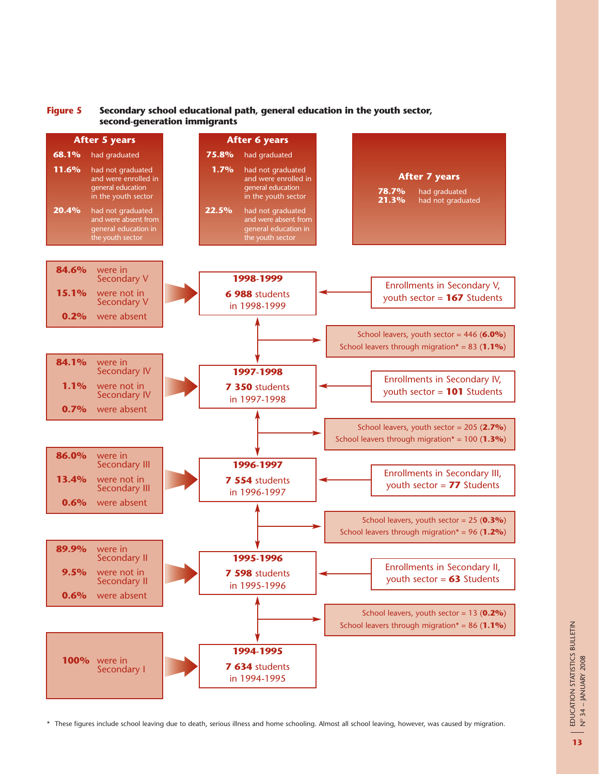![](_page_12_Figure_0.jpeg)

![](_page_12_Figure_1.jpeg)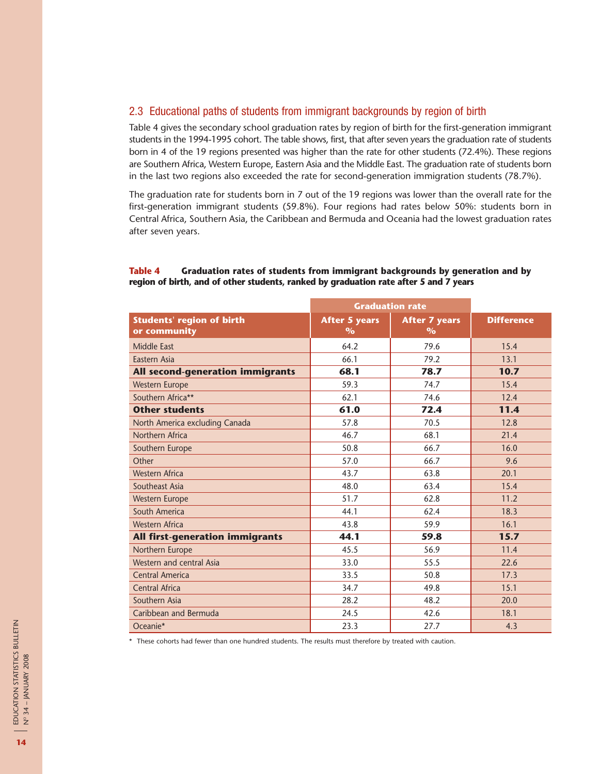## 2.3 Educational paths of students from immigrant backgrounds by region of birth

Table 4 gives the secondary school graduation rates by region of birth for the first-generation immigrant students in the 1994-1995 cohort. The table shows, first, that after seven years the graduation rate of students born in 4 of the 19 regions presented was higher than the rate for other students (72.4%). These regions are Southern Africa, Western Europe, Eastern Asia and the Middle East. The graduation rate of students born in the last two regions also exceeded the rate for second-generation immigration students (78.7%).

The graduation rate for students born in 7 out of the 19 regions was lower than the overall rate for the first-generation immigrant students (59.8%). Four regions had rates below 50%: students born in Central Africa, Southern Asia, the Caribbean and Bermuda and Oceania had the lowest graduation rates after seven years.

## **Table 4 Graduation rates of students from immigrant backgrounds by generation and by region of birth, and of other students, ranked by graduation rate after 5 and 7 years**

|                                                  | <b>Graduation rate</b>       |                              |                   |
|--------------------------------------------------|------------------------------|------------------------------|-------------------|
| <b>Students' region of birth</b><br>or community | <b>After 5 years</b><br>$\%$ | <b>After 7 years</b><br>$\%$ | <b>Difference</b> |
| Middle East                                      | 64.2                         | 79.6                         | 15.4              |
| Eastern Asia                                     | 66.1                         | 79.2                         | 13.1              |
| All second-generation immigrants                 | 68.1                         | 78.7                         | 10.7              |
| <b>Western Europe</b>                            | 59.3                         | 74.7                         | 15.4              |
| Southern Africa**                                | 62.1                         | 74.6                         | 12.4              |
| <b>Other students</b>                            | 61.0                         | 72.4                         | 11.4              |
| North America excluding Canada                   | 57.8                         | 70.5                         | 12.8              |
| Northern Africa                                  | 46.7                         | 68.1                         | 21.4              |
| Southern Europe                                  | 50.8                         | 66.7                         | 16.0              |
| Other                                            | 57.0                         | 66.7                         | 9.6               |
| <b>Western Africa</b>                            | 43.7                         | 63.8                         | 20.1              |
| Southeast Asia                                   | 48.0                         | 63.4                         | 15.4              |
| <b>Western Europe</b>                            | 51.7                         | 62.8                         | 11.2              |
| South America                                    | 44.1                         | 62.4                         | 18.3              |
| <b>Western Africa</b>                            | 43.8                         | 59.9                         | 16.1              |
| All first-generation immigrants                  | 44.1                         | 59.8                         | 15.7              |
| Northern Europe                                  | 45.5                         | 56.9                         | 11.4              |
| Western and central Asia                         | 33.0                         | 55.5                         | 22.6              |
| Central America                                  | 33.5                         | 50.8                         | 17.3              |
| Central Africa                                   | 34.7                         | 49.8                         | 15.1              |
| Southern Asia                                    | 28.2                         | 48.2                         | 20.0              |
| Caribbean and Bermuda                            | 24.5                         | 42.6                         | 18.1              |
| Oceanie*                                         | 23.3                         | 27.7                         | 4.3               |

\* These cohorts had fewer than one hundred students. The results must therefore by treated with caution.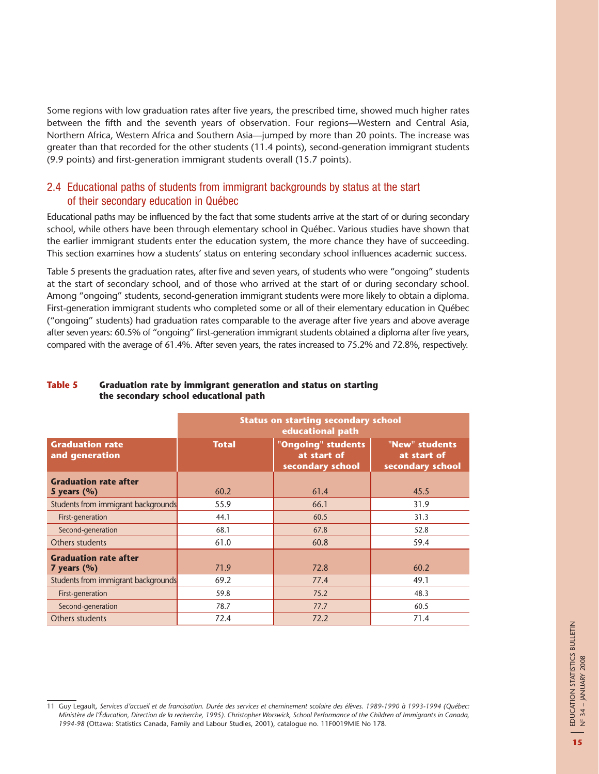Some regions with low graduation rates after five years, the prescribed time, showed much higher rates between the fifth and the seventh years of observation. Four regions—Western and Central Asia, Northern Africa, Western Africa and Southern Asia—jumped by more than 20 points. The increase was greater than that recorded for the other students (11.4 points), second-generation immigrant students (9.9 points) and first-generation immigrant students overall (15.7 points).

## 2.4 Educational paths of students from immigrant backgrounds by status at the start of their secondary education in Québec

Educational paths may be influenced by the fact that some students arrive at the start of or during secondary school, while others have been through elementary school in Québec. Various studies have shown that the earlier immigrant students enter the education system, the more chance they have of succeeding. This section examines how a students' status on entering secondary school influences academic success.

Table 5 presents the graduation rates, after five and seven years, of students who were "ongoing" students at the start of secondary school, and of those who arrived at the start of or during secondary school. Among "ongoing" students, second-generation immigrant students were more likely to obtain a diploma. First-generation immigrant students who completed some or all of their elementary education in Québec ("ongoing" students) had graduation rates comparable to the average after five years and above average after seven years: 60.5% of "ongoing" first-generation immigrant students obtained a diploma after five years, compared with the average of 61.4%. After seven years, the rates increased to 75.2% and 72.8%, respectively.

|                                                 | <b>Status on starting secondary school</b><br>educational path |                                                       |                                                   |  |  |  |
|-------------------------------------------------|----------------------------------------------------------------|-------------------------------------------------------|---------------------------------------------------|--|--|--|
| <b>Graduation rate</b><br>and generation        | <b>Total</b>                                                   | "Ongoing" students<br>at start of<br>secondary school | "New" students<br>at start of<br>secondary school |  |  |  |
| <b>Graduation rate after</b><br>5 years $(%$    | 60.2                                                           | 61.4                                                  | 45.5                                              |  |  |  |
| Students from immigrant backgrounds             | 55.9                                                           | 66.1                                                  | 31.9                                              |  |  |  |
| First-generation                                | 44.1                                                           | 60.5                                                  | 31.3                                              |  |  |  |
| Second-generation                               | 68.1                                                           | 67.8                                                  | 52.8                                              |  |  |  |
| Others students                                 | 61.0                                                           | 60.8                                                  | 59.4                                              |  |  |  |
| <b>Graduation rate after</b><br>7 years $(\% )$ | 71.9                                                           | 72.8                                                  | 60.2                                              |  |  |  |
| Students from immigrant backgrounds             | 69.2                                                           | 77.4                                                  | 49.1                                              |  |  |  |
| First-generation                                | 59.8                                                           | 75.2                                                  | 48.3                                              |  |  |  |
| Second-generation                               | 78.7                                                           | 77.7                                                  | 60.5                                              |  |  |  |
| Others students                                 | 72.4                                                           | 72.2                                                  | 71.4                                              |  |  |  |

#### **Table 5 Graduation rate by immigrant generation and status on starting the secondary school educational path**

<sup>11</sup> Guy Legault, *Services d'accueil et de francisation. Durée des services et cheminement scolaire des élèves. 1989-1990 à 1993-1994 (Québec: Ministère de l'Éducation, Direction de la recherche, 1995). Christopher Worswick, School Performance of the Children of Immigrants in Canada, 1994-98* (Ottawa: Statistics Canada, Family and Labour Studies, 2001), catalogue no. 11F0019MIE No 178.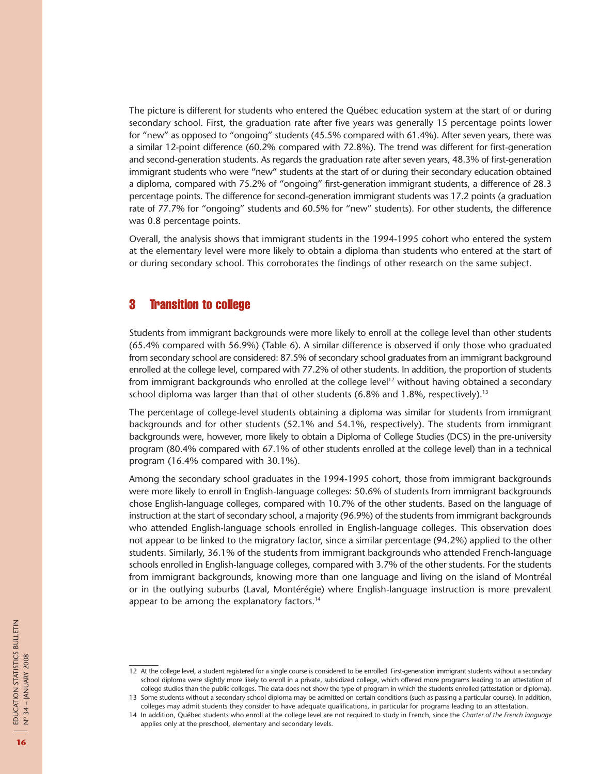The picture is different for students who entered the Québec education system at the start of or during secondary school. First, the graduation rate after five years was generally 15 percentage points lower for "new" as opposed to "ongoing" students (45.5% compared with 61.4%). After seven years, there was a similar 12-point difference (60.2% compared with 72.8%). The trend was different for first-generation and second-generation students. As regards the graduation rate after seven years, 48.3% of first-generation immigrant students who were "new" students at the start of or during their secondary education obtained a diploma, compared with 75.2% of "ongoing" first-generation immigrant students, a difference of 28.3 percentage points. The difference for second-generation immigrant students was 17.2 points (a graduation rate of 77.7% for "ongoing" students and 60.5% for "new" students). For other students, the difference was 0.8 percentage points.

Overall, the analysis shows that immigrant students in the 1994-1995 cohort who entered the system at the elementary level were more likely to obtain a diploma than students who entered at the start of or during secondary school. This corroborates the findings of other research on the same subject.

## 3 Transition to college

Students from immigrant backgrounds were more likely to enroll at the college level than other students (65.4% compared with 56.9%) (Table 6). A similar difference is observed if only those who graduated from secondary school are considered: 87.5% of secondary school graduates from an immigrant background enrolled at the college level, compared with 77.2% of other students. In addition, the proportion of students from immigrant backgrounds who enrolled at the college level<sup>12</sup> without having obtained a secondary school diploma was larger than that of other students (6.8% and 1.8%, respectively).<sup>13</sup>

The percentage of college-level students obtaining a diploma was similar for students from immigrant backgrounds and for other students (52.1% and 54.1%, respectively). The students from immigrant backgrounds were, however, more likely to obtain a Diploma of College Studies (DCS) in the pre-university program (80.4% compared with 67.1% of other students enrolled at the college level) than in a technical program (16.4% compared with 30.1%).

Among the secondary school graduates in the 1994-1995 cohort, those from immigrant backgrounds were more likely to enroll in English-language colleges: 50.6% of students from immigrant backgrounds chose English-language colleges, compared with 10.7% of the other students. Based on the language of instruction at the start of secondary school, a majority (96.9%) of the students from immigrant backgrounds who attended English-language schools enrolled in English-language colleges. This observation does not appear to be linked to the migratory factor, since a similar percentage (94.2%) applied to the other students. Similarly, 36.1% of the students from immigrant backgrounds who attended French-language schools enrolled in English-language colleges, compared with 3.7% of the other students. For the students from immigrant backgrounds, knowing more than one language and living on the island of Montréal or in the outlying suburbs (Laval, Montérégie) where English-language instruction is more prevalent appear to be among the explanatory factors.<sup>14</sup>

<sup>12</sup> At the college level, a student registered for a single course is considered to be enrolled. First-generation immigrant students without a secondary school diploma were slightly more likely to enroll in a private, subsidized college, which offered more programs leading to an attestation of college studies than the public colleges. The data does not show the type of program in which the students enrolled (attestation or diploma).

<sup>13</sup> Some students without a secondary school diploma may be admitted on certain conditions (such as passing a particular course). In addition, colleges may admit students they consider to have adequate qualifications, in particular for programs leading to an attestation.

<sup>14</sup> In addition, Québec students who enroll at the college level are not required to study in French, since the *Charter of the French language* applies only at the preschool, elementary and secondary levels.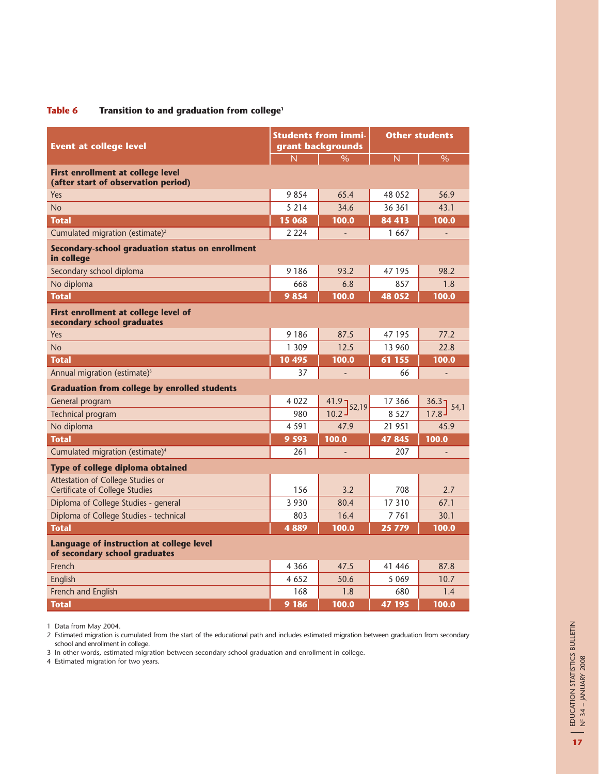#### **Table 6 Transition to and graduation from college1**

| <b>Event at college level</b>                                              |         | <b>Students from immi-</b><br>grant backgrounds | <b>Other students</b> |               |  |
|----------------------------------------------------------------------------|---------|-------------------------------------------------|-----------------------|---------------|--|
|                                                                            | Ñ       | $\%$                                            | N                     | $\%$          |  |
| First enrollment at college level<br>(after start of observation period)   |         |                                                 |                       |               |  |
| Yes                                                                        | 9854    | 65.4                                            | 48 052                | 56.9          |  |
| <b>No</b>                                                                  | 5 2 1 4 | 34.6                                            | 36 361                | 43.1          |  |
| <b>Total</b>                                                               | 15 068  | 100.0                                           | 84 413                | 100.0         |  |
| Cumulated migration (estimate) <sup>2</sup>                                | 2 2 2 4 |                                                 | 1 667                 |               |  |
| Secondary-school graduation status on enrollment<br>in college             |         |                                                 |                       |               |  |
| Secondary school diploma                                                   | 9 1 8 6 | 93.2                                            | 47 195                | 98.2          |  |
| No diploma                                                                 | 668     | 6.8                                             | 857                   | 1.8           |  |
| <b>Total</b>                                                               | 9854    | 100.0                                           | 48 052                | 100.0         |  |
| First enrollment at college level of<br>secondary school graduates         |         |                                                 |                       |               |  |
| Yes                                                                        | 9 1 8 6 | 87.5                                            | 47 195                | 77.2          |  |
| <b>No</b>                                                                  | 1 309   | 12.5                                            | 13 960                | 22.8          |  |
| <b>Total</b>                                                               | 10 495  | 100.0                                           | 61 155                | 100.0         |  |
| Annual migration (estimate) <sup>3</sup>                                   | 37      | ÷,                                              | 66                    | ÷,            |  |
| <b>Graduation from college by enrolled students</b>                        |         |                                                 |                       |               |  |
| General program                                                            | 4 0 2 2 | $\frac{41.9}{10.2}$ 52,19                       | 17 366                | 36.37<br>54,1 |  |
| Technical program                                                          | 980     |                                                 | 8 5 2 7               | 17.8          |  |
| No diploma                                                                 | 4 5 9 1 | 47.9                                            | 21 951                | 45.9          |  |
| <b>Total</b>                                                               | 9 5 9 3 | 100.0                                           | 47 845                | 100.0         |  |
| Cumulated migration (estimate) <sup>4</sup>                                | 261     |                                                 | 207                   |               |  |
| Type of college diploma obtained                                           |         |                                                 |                       |               |  |
| Attestation of College Studies or<br><b>Certificate of College Studies</b> | 156     | 3.2                                             | 708                   | 2.7           |  |
| Diploma of College Studies - general                                       | 3 9 3 0 | 80.4                                            | 17 310                | 67.1          |  |
| Diploma of College Studies - technical                                     | 803     | 16.4                                            | 7 7 6 1               | 30.1          |  |
| <b>Total</b>                                                               | 4889    | 100.0                                           | 25 779                | 100.0         |  |
| Language of instruction at college level<br>of secondary school graduates  |         |                                                 |                       |               |  |
| French                                                                     | 4 3 6 6 | 47.5                                            | 41 44 6               | 87.8          |  |
| English                                                                    | 4 6 5 2 | 50.6                                            | 5 0 6 9               | 10.7          |  |
| French and English                                                         | 168     | 1.8                                             | 680                   | 1.4           |  |
| <b>Total</b>                                                               | 9 186   | 100.0                                           | 47 195                | 100.0         |  |

1 Data from May 2004.

2 Estimated migration is cumulated from the start of the educational path and includes estimated migration between graduation from secondary school and enrollment in college.

3 In other words, estimated migration between secondary school graduation and enrollment in college.

4 Estimated migration for two years.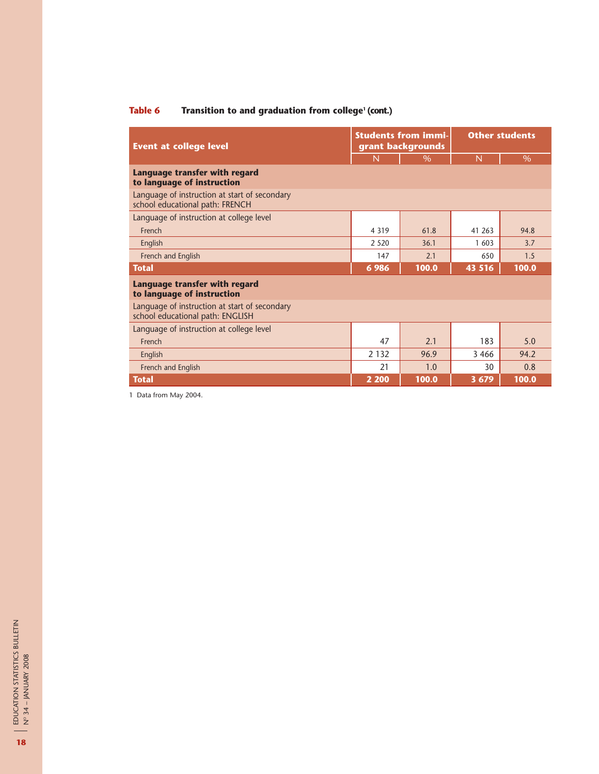# **Table 6 Transition to and graduation from college<sup>1</sup> (cont.)**

| <b>Event at college level</b>                                                     |         | <b>Students from immi-</b><br>grant backgrounds | <b>Other students</b> |       |  |
|-----------------------------------------------------------------------------------|---------|-------------------------------------------------|-----------------------|-------|--|
|                                                                                   | N       | $\%$                                            | N                     | $\%$  |  |
| Language transfer with regard<br>to language of instruction                       |         |                                                 |                       |       |  |
| Language of instruction at start of secondary<br>school educational path: FRENCH  |         |                                                 |                       |       |  |
| Language of instruction at college level                                          |         |                                                 |                       |       |  |
| French                                                                            | 4 3 1 9 | 61.8                                            | 41 263                | 94.8  |  |
| English                                                                           | 2 5 2 0 | 36.1                                            | 1 603                 | 3.7   |  |
| French and English                                                                | 147     | 2.1                                             | 650                   | 1.5   |  |
| <b>Total</b>                                                                      | 6986    | 100.0                                           | 43 516                | 100.0 |  |
| Language transfer with regard<br>to language of instruction                       |         |                                                 |                       |       |  |
| Language of instruction at start of secondary<br>school educational path: ENGLISH |         |                                                 |                       |       |  |
| Language of instruction at college level                                          |         |                                                 |                       |       |  |
| French                                                                            | 47      | 21                                              | 183                   | 5.0   |  |
| English                                                                           | 2 1 3 2 | 96.9                                            | 3 4 6 6               | 94.2  |  |
| French and English                                                                | 21      | 1.0                                             | 30                    | 0.8   |  |
| <b>Total</b>                                                                      | 2 2 0 0 | 100.0                                           | 3 6 7 9               | 100.0 |  |

1 Data from May 2004.